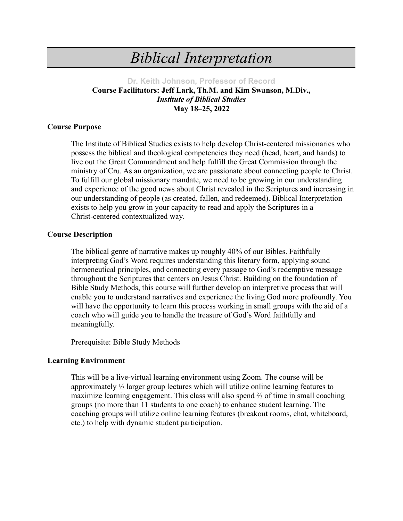# *Biblical Interpretation*

## **Dr. Keith Johnson, Professor of Record Course Facilitators: Jeff Lark, Th.M. and Kim Swanson, M.Div.,** *Institute of Biblical Studies* **May 18–25, 2022**

#### **Course Purpose**

The Institute of Biblical Studies exists to help develop Christ-centered missionaries who possess the biblical and theological competencies they need (head, heart, and hands) to live out the Great Commandment and help fulfill the Great Commission through the ministry of Cru. As an organization, we are passionate about connecting people to Christ. To fulfill our global missionary mandate, we need to be growing in our understanding and experience of the good news about Christ revealed in the Scriptures and increasing in our understanding of people (as created, fallen, and redeemed). Biblical Interpretation exists to help you grow in your capacity to read and apply the Scriptures in a Christ-centered contextualized way.

#### **Course Description**

The biblical genre of narrative makes up roughly 40% of our Bibles. Faithfully interpreting God's Word requires understanding this literary form, applying sound hermeneutical principles, and connecting every passage to God's redemptive message throughout the Scriptures that centers on Jesus Christ. Building on the foundation of Bible Study Methods, this course will further develop an interpretive process that will enable you to understand narratives and experience the living God more profoundly. You will have the opportunity to learn this process working in small groups with the aid of a coach who will guide you to handle the treasure of God's Word faithfully and meaningfully.

Prerequisite: Bible Study Methods

#### **Learning Environment**

This will be a live-virtual learning environment using Zoom. The course will be approximately ⅓ larger group lectures which will utilize online learning features to maximize learning engagement. This class will also spend ⅔ of time in small coaching groups (no more than 11 students to one coach) to enhance student learning. The coaching groups will utilize online learning features (breakout rooms, chat, whiteboard, etc.) to help with dynamic student participation.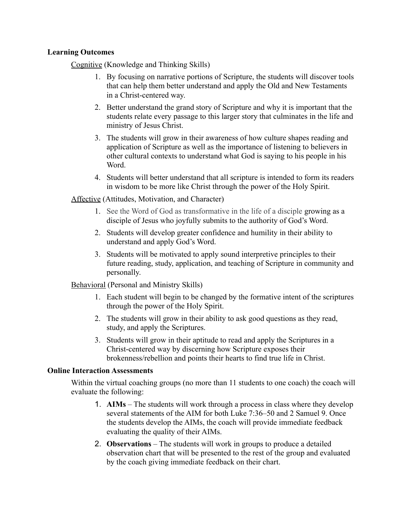## **Learning Outcomes**

Cognitive (Knowledge and Thinking Skills)

- 1. By focusing on narrative portions of Scripture, the students will discover tools that can help them better understand and apply the Old and New Testaments in a Christ-centered way.
- 2. Better understand the grand story of Scripture and why it is important that the students relate every passage to this larger story that culminates in the life and ministry of Jesus Christ.
- 3. The students will grow in their awareness of how culture shapes reading and application of Scripture as well as the importance of listening to believers in other cultural contexts to understand what God is saying to his people in his Word.
- 4. Students will better understand that all scripture is intended to form its readers in wisdom to be more like Christ through the power of the Holy Spirit.

Affective (Attitudes, Motivation, and Character)

- 1. See the Word of God as transformative in the life of a disciple growing as a disciple of Jesus who joyfully submits to the authority of God's Word.
- 2. Students will develop greater confidence and humility in their ability to understand and apply God's Word.
- 3. Students will be motivated to apply sound interpretive principles to their future reading, study, application, and teaching of Scripture in community and personally.

Behavioral (Personal and Ministry Skills)

- 1. Each student will begin to be changed by the formative intent of the scriptures through the power of the Holy Spirit.
- 2. The students will grow in their ability to ask good questions as they read, study, and apply the Scriptures.
- 3. Students will grow in their aptitude to read and apply the Scriptures in a Christ-centered way by discerning how Scripture exposes their brokenness/rebellion and points their hearts to find true life in Christ.

#### **Online Interaction Assessments**

Within the virtual coaching groups (no more than 11 students to one coach) the coach will evaluate the following:

- 1. **AIMs** The students will work through a process in class where they develop several statements of the AIM for both Luke 7:36–50 and 2 Samuel 9. Once the students develop the AIMs, the coach will provide immediate feedback evaluating the quality of their AIMs.
- 2. **Observations** The students will work in groups to produce a detailed observation chart that will be presented to the rest of the group and evaluated by the coach giving immediate feedback on their chart.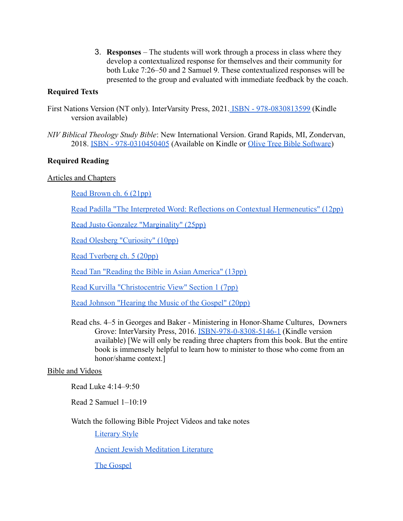3. **Responses** – The students will work through a process in class where they develop a contextualized response for themselves and their community for both Luke 7:26–50 and 2 Samuel 9. These contextualized responses will be presented to the group and evaluated with immediate feedback by the coach.

## **Required Texts**

- First Nations Version (NT only). InterVarsity Press, 2021. [ISBN 978-0830813599](https://www.amazon.com/First-Nations-Version-Indigenous-Translation/dp/0830813500/ref=tmm_pap_swatch_0?_encoding=UTF8&qid=1640018244&sr=8-1-spons) (Kindle version available)
- *NIV Biblical Theology Study Bible*: New International Version. Grand Rapids, MI, Zondervan, 2018. [ISBN - 978-0310450405](https://www.amazon.com/dp/0310450403/ref=cm_sw_em_r_mt_dp_ZBGV2RNG4GPYDCQXRYDR) (Available on Kindle or [Olive Tree Bible Software](https://www.olivetree.com/store/product.php?productid=42748))

# **Required Reading**

## Articles and Chapters

[Read Brown ch. 6 \(21pp\)](https://ibs.cru.org/index.php/download_file/view/1605/)

[Read Padilla "The Interpreted Word: Reflections on Contextual Hermeneutics" \(12pp\)](https://ibs.cru.org/index.php/download_file/view/1608/)

[Read Justo Gonzalez "Marginality" \(25pp\)](https://drive.google.com/file/d/1KACGYzoD90yeJwBit6PtLHDe4CUYJ9-K/view?usp=sharing)

[Read Olesberg "Curiosity" \(10pp\)](https://ibs.cru.org/index.php/download_file/view/1607/)

[Read Tverberg ch. 5 \(20pp\)](https://ibs.cru.org/index.php/download_file/view/1609/)

[Read Tan "Reading the Bible in Asian America" \(13pp\)](https://drive.google.com/file/d/1GwiUGSkcR6nAKc2azbllH0uCHk6-STi7/view?usp=sharing)

[Read Kurvilla "Christocentric View" Section 1 \(7pp\)](https://ibs.cru.org/index.php/download_file/view/1606/)

[Read Johnson "Hearing the Music of the Gospel" \(20pp\)](https://www.cru.org/content/dam/cru/train-and-grow/spiritual-growth/hearing-the-music-of-the-gospel.pdf)

Read chs. 4–5 in Georges and Baker - Ministering in Honor-Shame Cultures, Downers Grove: InterVarsity Press, 2016. [ISBN-978-0-8308-5146-1](https://www.amazon.com/Ministering-Honor-Shame-Cultures-Foundations-Essentials/dp/0830851461/ref=tmm_pap_swatch_0?_encoding=UTF8&qid=1640018207&sr=8-2) (Kindle version available) [We will only be reading three chapters from this book. But the entire book is immensely helpful to learn how to minister to those who come from an honor/shame context.]

#### Bible and Videos

Read Luke 4:14–9:50

Read 2 Samuel 1–10:19

Watch the following Bible Project Videos and take notes

[Literary Style](https://bibleproject.com/explore/video/literary-styles-bible/?utm_source=web_social_share&medium=shared_video)

[Ancient Jewish Meditation Literature](https://bibleproject.com/explore/video/bible-jewish-meditation-literature-h2r/?utm_source=web_social_share&medium=shared_video)

[The Gospel](https://bibleproject.com/explore/video/how-to-read-gospel/?utm_source=web_social_share&medium=shared_video)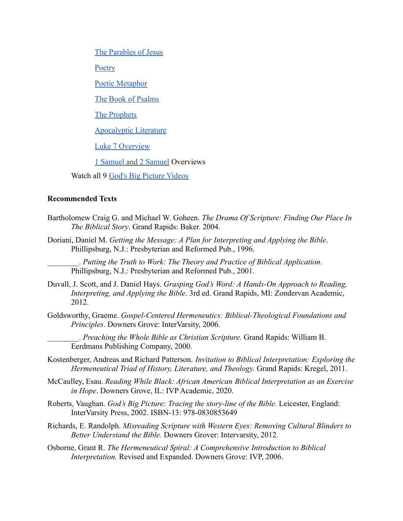[The Parables of Jesus](https://bibleproject.com/explore/video/how-to-read-the-bible-the-parables-of-jesus/?utm_source=web_social_share&medium=shared_video)

**[Poetry](https://bibleproject.com/explore/video/art-biblical-poetry/?utm_source=web_social_share&medium=shared_video)** 

[Poetic Metaphor](https://bibleproject.com/explore/video/metaphor-biblical-poetry/?utm_source=web_social_share&medium=shared_video)

[The Book of Psalms](https://bibleproject.com/explore/video/book-of-psalms/?utm_source=web_social_share&medium=shared_video)

[The Prophets](https://bibleproject.com/explore/video/the-prophets/?utm_source=web_social_share&medium=shared_video)

[Apocalyptic Literature](https://bibleproject.com/explore/video/apocalyptic-literature/?utm_source=web_social_share&medium=shared_video)

[Luke 7 Overview](https://bibleproject.com/explore/video/luke/?utm_source=web_social_share&medium=shared_video)

[1 Samuel](https://bibleproject.com/explore/video/1-samuel/?utm_source=web_social_share&medium=shared_video) and [2 Samuel](https://bibleproject.com/explore/video/2-samuel/?utm_source=web_social_share&medium=shared_video) Overviews

Watch all 9 [God's Big Picture Videos](https://www.godsbigpicture.co.uk/watch)

#### **Recommended Texts**

- Bartholomew Craig G. and Michael W. Goheen. *The Drama Of Scripture: Finding Our Place In The Biblical Story*. Grand Rapids: Baker. 2004.
- Doriani, Daniel M. *Getting the Message: A Plan for Interpreting and Applying the Bible*. Phillipsburg, N.J.: Presbyterian and Reformed Pub., 1996.

\_\_\_\_\_\_\_\_. *Putting the Truth to Work: The Theory and Practice of Biblical Application*. Phillipsburg, N.J.: Presbyterian and Reformed Pub., 2001.

- Duvall, J. Scott, and J. Daniel Hays. *Grasping God's Word: A Hands-On Approach to Reading, Interpreting, and Applying the Bible*. 3rd ed. Grand Rapids, MI: Zondervan Academic, 2012.
- Goldsworthy, Graeme. *Gospel-Centered Hermeneutics: Biblical-Theological Foundations and Principles*. Downers Grove: InterVarsity, 2006.

\_\_\_\_\_\_\_\_. *Preaching the Whole Bible as Christian Scripture.* Grand Rapids: William B. Eerdmans Publishing Company, 2000.

- Kostenberger, Andreas and Richard Patterson. *Invitation to Biblical Interpretation: Exploring the Hermeneutical Triad of History, Literature, and Theology.* Grand Rapids: Kregel, 2011.
- McCaulley, Esau. *Reading While Black: African American Biblical Interpretation as an Exercise in Hope*. Downers Grove, IL: IVP Academic, 2020.
- Roberts, Vaughan. *God's Big Picture: Tracing the story-line of the Bible.* Leicester, England: InterVarsity Press, 2002. ISBN-13: 978-0830853649
- Richards, E. Randolph. *Misreading Scripture with Western Eyes: Removing Cultural Blinders to Better Understand the Bible.* Downers Grover: Intervarsity, 2012.
- Osborne, Grant R. *The Hermeneutical Spiral: A Comprehensive Introduction to Biblical Interpretation.* Revised and Expanded. Downers Grove: IVP, 2006.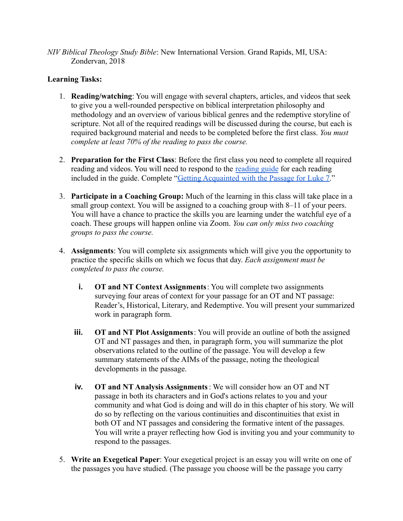*NIV Biblical Theology Study Bible*: New International Version. Grand Rapids, MI, USA: Zondervan, 2018

# **Learning Tasks:**

- 1. **Reading/watching**: You will engage with several chapters, articles, and videos that seek to give you a well-rounded perspective on biblical interpretation philosophy and methodology and an overview of various biblical genres and the redemptive storyline of scripture. Not all of the required readings will be discussed during the course, but each is required background material and needs to be completed before the first class. *You must complete at least 70% of the reading to pass the course.*
- 2. **Preparation for the First Class**: Before the first class you need to complete all required reading and videos. You will need to respond to the [reading guide](https://docs.google.com/document/d/1VsA0iuGPjdgF7PYVeYxFv28lxioVBiPgO_E0Stidr6U/edit?usp=sharing) for each reading included in the guide. Complete "Getting Acquainted [with the Passage for Luke 7.](https://docs.google.com/document/d/1bltKUpMf0Nx768pm10oJtSwOqicsfe8PbzBWHSh4V-M/edit)"
- 3. **Participate in a Coaching Group:** Much of the learning in this class will take place in a small group context. You will be assigned to a coaching group with 8–11 of your peers. You will have a chance to practice the skills you are learning under the watchful eye of a coach. These groups will happen online via Zoom. *You can only miss two coaching groups to pass the course.*
- 4. **Assignments**: You will complete six assignments which will give you the opportunity to practice the specific skills on which we focus that day. *Each assignment must be completed to pass the course.*
	- **i. OT and NT Context Assignments**: You will complete two assignments surveying four areas of context for your passage for an OT and NT passage: Reader's, Historical, Literary, and Redemptive. You will present your summarized work in paragraph form.
	- **iii. OT and NT Plot Assignments**: You will provide an outline of both the assigned OT and NT passages and then, in paragraph form, you will summarize the plot observations related to the outline of the passage. You will develop a few summary statements of the AIMs of the passage, noting the theological developments in the passage.
	- **iv. OT and NT Analysis Assignments**: We will consider how an OT and NT passage in both its characters and in God's actions relates to you and your community and what God is doing and will do in this chapter of his story. We will do so by reflecting on the various continuities and discontinuities that exist in both OT and NT passages and considering the formative intent of the passages. You will write a prayer reflecting how God is inviting you and your community to respond to the passages.
- 5. **Write an Exegetical Paper**: Your exegetical project is an essay you will write on one of the passages you have studied. (The passage you choose will be the passage you carry